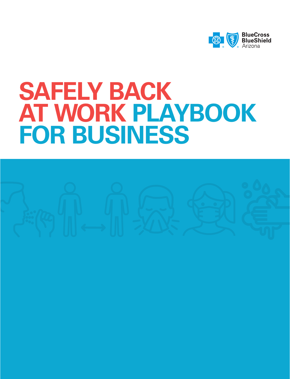

# **SAFELY BACK AT WORK PLAYBOOK FOR BUSINESS**

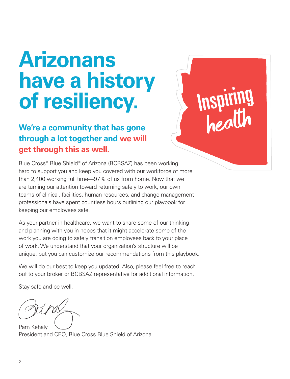# **Arizonans have a history of resiliency.**

## **We're a community that has gone through a lot together and we will get through this as well.**

Blue Cross® Blue Shield® of Arizona (BCBSAZ) has been working hard to support you and keep you covered with our workforce of more than 2,400 working full time—97% of us from home. Now that we are turning our attention toward returning safely to work, our own teams of clinical, facilities, human resources, and change management professionals have spent countless hours outlining our playbook for keeping our employees safe.

Inspiring

As your partner in healthcare, we want to share some of our thinking and planning with you in hopes that it might accelerate some of the work you are doing to safely transition employees back to your place of work. We understand that your organization's structure will be unique, but you can customize our recommendations from this playbook.

We will do our best to keep you updated. Also, please feel free to reach out to your broker or BCBSAZ representative for additional information.

Stay safe and be well,

Pam Kehaly President and CEO, Blue Cross Blue Shield of Arizona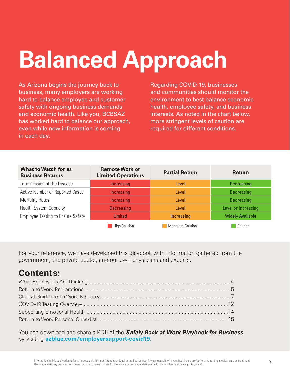# **Balanced Approach**

As Arizona begins the journey back to business, many employers are working hard to balance employee and customer safety with ongoing business demands and economic health. Like you, BCBSAZ has worked hard to balance our approach, even while new information is coming in each day.

Regarding COVID-19, businesses and communities should monitor the environment to best balance economic health, employee safety, and business interests. As noted in the chart below, more stringent levels of caution are required for different conditions.

| <b>What to Watch for as</b><br><b>Business Returns</b> | <b>Remote Work or</b><br><b>Limited Operations</b> | <b>Partial Return</b>   | <b>Return</b>           |  |  |
|--------------------------------------------------------|----------------------------------------------------|-------------------------|-------------------------|--|--|
| Transmission of the Disease                            | Increasing                                         | Level                   | <b>Decreasing</b>       |  |  |
| Active Number of Reported Cases                        | Increasing                                         | Level                   | <b>Decreasing</b>       |  |  |
| <b>Mortality Rates</b>                                 | Increasing                                         | Level                   | Decreasing              |  |  |
| <b>Health System Capacity</b>                          | <b>Decreasing</b>                                  | Level                   | Level or Increasing     |  |  |
| <b>Employee Testing to Ensure Safety</b>               | <b>Limited</b>                                     | Increasing              | <b>Widely Available</b> |  |  |
|                                                        | <b>High Caution</b>                                | <b>Moderate Caution</b> | Caution                 |  |  |

For your reference, we have developed this playbook with information gathered from the government, the private sector, and our own physicians and experts.

## **Contents:**

You can download and share a PDF of the *Safely Back at Work Playbook for Business* by visiting **azblue.com/employersupport-covid19.**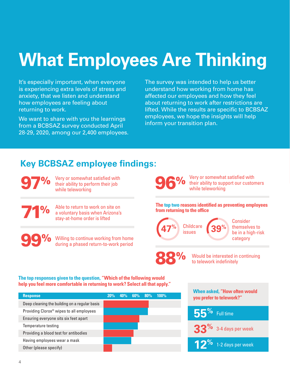# **What Employees Are Thinking**

It's especially important, when everyone is experiencing extra levels of stress and anxiety, that we listen and understand how employees are feeling about returning to work.

We want to share with you the learnings from a BCBSAZ survey conducted April 28-29, 2020, among our 2,400 employees. The survey was intended to help us better understand how working from home has affected our employees and how they feel about returning to work after restrictions are lifted. While the results are specific to BCBSAZ employees, we hope the insights will help inform your transition plan.

## **Key BCBSAZ employee findings:**

97% <sup>Very or somewhat satisfied with</sup><br>
while teleworking<br>
while teleworking their ability to perform their job while teleworking

71%

Able to return to work on site on a voluntary basis when Arizona's stay-at-home order is lifted

99%

Willing to continue working from home during a phased return-to-work period

**The top two reasons identified as preventing employees from returning to the office** 

while teleworking

Very or somewhat satisfied with their ability to support our customers

Childcare **39% 47%** issues

88%

Consider themselves to be in a high-risk category

Would be interested in continuing to telework indefinitely

**The top responses given to the question, "Which of the following would help you feel more comfortable in returning to work? Select all that apply."** 

| <b>Response</b>                                      | 20% | 40% | $60\%$ 80% | 100% |  |
|------------------------------------------------------|-----|-----|------------|------|--|
| Deep cleaning the building on a regular basis        |     |     |            |      |  |
| Providing Clorox <sup>®</sup> wipes to all employees |     |     |            |      |  |
| Ensuring everyone sits six feet apart                |     |     |            |      |  |
| Temperature testing                                  |     |     |            |      |  |
| Providing a blood test for antibodies                |     |     |            |      |  |
| Having employees wear a mask                         |     |     |            |      |  |
| Other (please specify)                               |     |     |            |      |  |

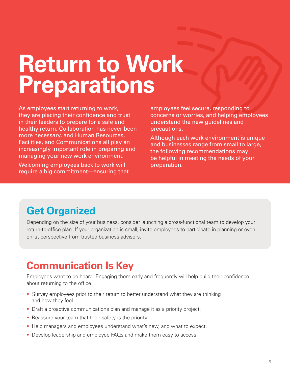# **Return to Work Preparations**

As employees start returning to work, they are placing their confidence and trust in their leaders to prepare for a safe and healthy return. Collaboration has never been more necessary, and Human Resources, Facilities, and Communications all play an increasingly important role in preparing and managing your new work environment.

Welcoming employees back to work will require a big commitment—ensuring that

employees feel secure, responding to concerns or worries, and helping employees understand the new guidelines and precautions.

Although each work environment is unique and businesses range from small to large, the following recommendations may be helpful in meeting the needs of your preparation.

## **Get Organized**

Depending on the size of your business, consider launching a cross-functional team to develop your return-to-office plan. If your organization is small, invite employees to participate in planning or even enlist perspective from trusted business advisers.

## **Communication Is Key**

Employees want to be heard. Engaging them early and frequently will help build their confidence about returning to the office.

- Survey employees prior to their return to better understand what they are thinking and how they feel.
- Draft a proactive communications plan and manage it as a priority project.
- Reassure your team that their safety is the priority.
- Help managers and employees understand what's new, and what to expect.
- Develop leadership and employee FAQs and make them easy to access.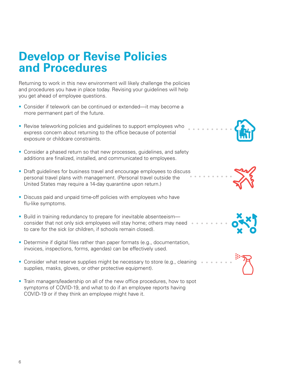## **Develop or Revise Policies and Procedures**

Returning to work in this new environment will likely challenge the policies and procedures you have in place today. Revising your guidelines will help you get ahead of employee questions.

- Consider if telework can be continued or extended—it may become a more permanent part of the future.
- Revise teleworking policies and guidelines to support employees who express concern about returning to the office because of potential exposure or childcare constraints.
- Consider a phased return so that new processes, guidelines, and safety additions are finalized, installed, and communicated to employees.
- Draft guidelines for business travel and encourage employees to discuss personal travel plans with management. (Personal travel outside the United States may require a 14-day quarantine upon return.)
- Discuss paid and unpaid time-off policies with employees who have flu-like symptoms.
- Build in training redundancy to prepare for inevitable absenteeism consider that not only sick employees will stay home; others may need to care for the sick (or children, if schools remain closed).
- Determine if digital files rather than paper formats (e.g., documentation, invoices, inspections, forms, agendas) can be effectively used.
- Consider what reserve supplies might be necessary to store (e.g., cleaning supplies, masks, gloves, or other protective equipment).
- Train managers/leadership on all of the new office procedures, how to spot symptoms of COVID-19, and what to do if an employee reports having COVID-19 or if they think an employee might have it.







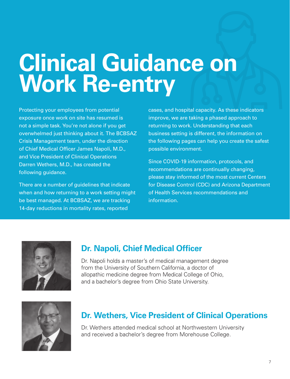# **Clinical Guidance on Work Re-entry**

Protecting your employees from potential exposure once work on site has resumed is not a simple task. You're not alone if you get overwhelmed just thinking about it. The BCBSAZ Crisis Management team, under the direction of Chief Medical Officer James Napoli, M.D., and Vice President of Clinical Operations Darren Wethers, M.D., has created the following guidance.

There are a number of guidelines that indicate when and how returning to a work setting might be best managed. At BCBSAZ, we are tracking 14-day reductions in mortality rates, reported

cases, and hospital capacity. As these indicators improve, we are taking a phased approach to returning to work. Understanding that each business setting is different, the information on the following pages can help you create the safest possible environment.

Since COVID-19 information, protocols, and recommendations are continually changing, please stay informed of the most current Centers for Disease Control (CDC) and Arizona Department of Health Services recommendations and information.



### **Dr. Napoli, Chief Medical Officer**

Dr. Napoli holds a master's of medical management degree from the University of Southern California, a doctor of allopathic medicine degree from Medical College of Ohio, and a bachelor's degree from Ohio State University.



### **Dr. Wethers, Vice President of Clinical Operations**

Dr. Wethers attended medical school at Northwestern University and received a bachelor's degree from Morehouse College.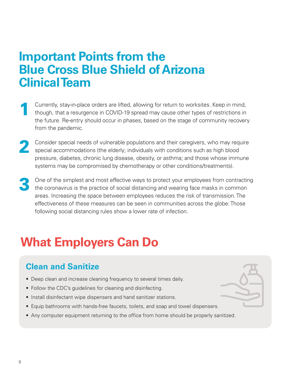## **Important Points from the Blue Cross Blue Shield of Arizona Clinical Team**

- Currently, stay-in-place orders are lifted, allowing for return to worksites. Keep in mind, though, that a resurgence in COVID-19 spread may cause other types of restrictions in the future. Re-entry should occur in phases, based on the stage of community recovery from the pandemic. 1
- Consider special needs of vulnerable populations and their caregivers, who may require special accommodations (the elderly; individuals with conditions such as high blood pressure, diabetes, chronic lung disease, obesity, or asthma; and those whose immune systems may be compromised by chemotherapy or other conditions/treatments). 2
- One of the simplest and most effective ways to protect your employees from contracting the coronavirus is the practice of social distancing and wearing face masks in common areas. Increasing the space between employees reduces the risk of transmission. The effectiveness of these measures can be seen in communities across the globe: Those following social distancing rules show a lower rate of infection. 3

## **What Employers Can Do**

## **Clean and Sanitize**

- Deep clean and increase cleaning frequency to several times daily.
- Follow the CDC's guidelines for cleaning and disinfecting.
- Install disinfectant wipe dispensers and hand sanitizer stations.
- Equip bathrooms with hands-free faucets, toilets, and soap and towel dispensers.
- Any computer equipment returning to the office from home should be properly sanitized.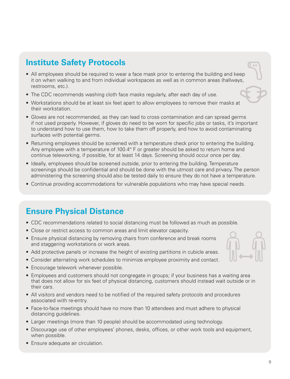### **Institute Safety Protocols**

- All employees should be required to wear a face mask prior to entering the building and keep it on when walking to and from individual workspaces as well as in common areas (hallways, restrooms, etc.).
- The CDC recommends washing cloth face masks regularly, after each day of use.
- Workstations should be at least six feet apart to allow employees to remove their masks at their workstation.
- Gloves are not recommended, as they can lead to cross contamination and can spread germs if not used properly. However, if gloves do need to be worn for specific jobs or tasks, it's important to understand how to use them, how to take them off properly, and how to avoid contaminating surfaces with potential germs.
- Returning employees should be screened with a temperature check prior to entering the building. Any employee with a temperature of 100.4° F or greater should be asked to return home and continue teleworking, if possible, for at least 14 days. Screening should occur once per day.
- Ideally, employees should be screened outside, prior to entering the building. Temperature screenings should be confidential and should be done with the utmost care and privacy. The person administering the screening should also be tested daily to ensure they do not have a temperature.
- Continue providing accommodations for vulnerable populations who may have special needs.

### **Ensure Physical Distance**

- CDC recommendations related to social distancing must be followed as much as possible.
- Close or restrict access to common areas and limit elevator capacity.
- Ensure physical distancing by removing chairs from conference and break rooms and staggering workstations or work areas.
- Add protective panels or increase the height of existing partitions in cubicle areas.
- Consider alternating work schedules to minimize employee proximity and contact.
- Encourage telework whenever possible.
- Employees and customers should not congregate in groups; if your business has a waiting area that does not allow for six feet of physical distancing, customers should instead wait outside or in their cars.
- All visitors and vendors need to be notified of the required safety protocols and procedures associated with re-entry.
- Face-to-face meetings should have no more than 10 attendees and must adhere to physical distancing guidelines.
- Larger meetings (more than 10 people) should be accommodated using technology.
- Discourage use of other employees' phones, desks, offices, or other work tools and equipment, when possible.
- Ensure adequate air circulation.

 $\sim$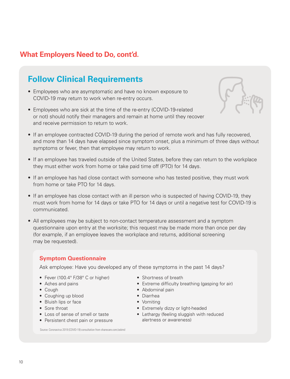### **What Employers Need to Do, cont'd.**

### **Follow Clinical Requirements**

- Employees who are asymptomatic and have no known exposure to COVID-19 may return to work when re-entry occurs.
- Employees who are sick at the time of the re-entry (COVID-19-related or not) should notify their managers and remain at home until they recover and receive permission to return to work.



- If an employee contracted COVID-19 during the period of remote work and has fully recovered, and more than 14 days have elapsed since symptom onset, plus a minimum of three days without symptoms or fever, then that employee may return to work.
- If an employee has traveled outside of the United States, before they can return to the workplace they must either work from home or take paid time off (PTO) for 14 days.
- If an employee has had close contact with someone who has tested positive, they must work from home or take PTO for 14 days.
- If an employee has close contact with an ill person who is suspected of having COVID-19, they must work from home for 14 days or take PTO for 14 days or until a negative test for COVID-19 is communicated.
- All employees may be subject to non-contact temperature assessment and a symptom questionnaire upon entry at the worksite; this request may be made more than once per day (for example, if an employee leaves the workplace and returns, additional screening may be requested).

#### **Symptom Questionnaire**

Ask employee: Have you developed any of these symptoms in the past 14 days?

- Fever (100.4° F/38° C or higher)
- Aches and pains
- Cough
- Coughing up blood
- Bluish lips or face
- Sore throat
- Loss of sense of smell or taste
- Persistent chest pain or pressure
- Shortness of breath
- Extreme difficulty breathing (gasping for air)
- Abdominal pain
- Diarrhea
- Vomiting
- Extremely dizzy or light-headed
- Lethargy (feeling sluggish with reduced alertness or awareness)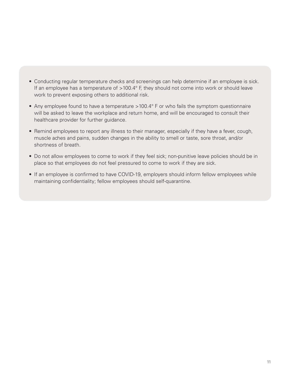- Conducting regular temperature checks and screenings can help determine if an employee is sick. If an employee has a temperature of >100.4° F, they should not come into work or should leave work to prevent exposing others to additional risk.
- Any employee found to have a temperature >100.4° F or who fails the symptom questionnaire will be asked to leave the workplace and return home, and will be encouraged to consult their healthcare provider for further guidance.
- Remind employees to report any illness to their manager, especially if they have a fever, cough, muscle aches and pains, sudden changes in the ability to smell or taste, sore throat, and/or shortness of breath.
- Do not allow employees to come to work if they feel sick; non-punitive leave policies should be in place so that employees do not feel pressured to come to work if they are sick.
- If an employee is confirmed to have COVID-19, employers should inform fellow employees while maintaining confidentiality; fellow employees should self-quarantine.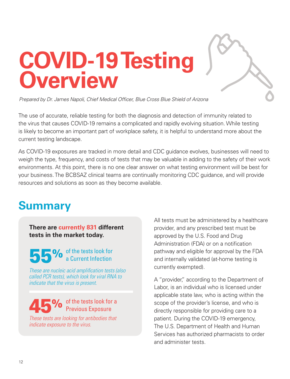# **COVID-19 Testing Overview**

*Prepared by Dr. James Napoli, Chief Medical Officer, Blue Cross Blue Shield of Arizona*

The use of accurate, reliable testing for both the diagnosis and detection of immunity related to the virus that causes COVID-19 remains a complicated and rapidly evolving situation. While testing is likely to become an important part of workplace safety, it is helpful to understand more about the current testing landscape.

As COVID-19 exposures are tracked in more detail and CDC guidance evolves, businesses will need to weigh the type, frequency, and costs of tests that may be valuable in adding to the safety of their work environments. At this point, there is no one clear answer on what testing environment will be best for your business. The BCBSAZ clinical teams are continually monitoring CDC guidance, and will provide resources and solutions as soon as they become available.

## **Summary**

**There are currently 831 different tests in the market today.** 

55% of the tests look for a Current Infection

*These are nucleic acid amplification tests (also called PCR tests), which look for viral RNA to indicate that the virus is present.* 

#### 45% of the tests look for a Previous Exposure

*These tests are looking for antibodies that indicate exposure to the virus.*

All tests must be administered by a healthcare provider, and any prescribed test must be approved by the U.S. Food and Drug Administration (FDA) or on a notification pathway and eligible for approval by the FDA and internally validated (at-home testing is currently exempted).

A "provider," according to the Department of Labor, is an individual who is licensed under applicable state law, who is acting within the scope of the provider's license, and who is directly responsible for providing care to a patient. During the COVID-19 emergency, The U.S. Department of Health and Human Services has authorized pharmacists to order and administer tests.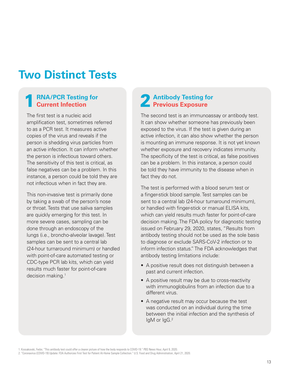## **Two Distinct Tests**

#### **RNA/PCR Testing for Current Infection**

The first test is a nucleic acid amplification test, sometimes referred to as a PCR test. It measures active copies of the virus and reveals if the person is shedding virus particles from an active infection. It can inform whether the person is infectious toward others. The sensitivity of this test is critical, as false negatives can be a problem. In this instance, a person could be told they are not infectious when in fact they are.

This non-invasive test is primarily done by taking a swab of the person's nose or throat. Tests that use saliva samples are quickly emerging for this test. In more severe cases, sampling can be done through an endoscopy of the lungs (i.e., broncho-alveolar lavage). Test samples can be sent to a central lab (24-hour turnaround minimum) or handled with point-of-care automated testing or CDC-type PCR lab kits, which can yield results much faster for point-of-care decision making.<sup>1</sup>

#### **Antibody Testing for Previous Exposure**

The second test is an immunoassay or antibody test. It can show whether someone has previously been exposed to the virus. If the test is given during an active infection, it can also show whether the person is mounting an immune response. It is not yet known whether exposure and recovery indicates immunity. The specificity of the test is critical, as false positives can be a problem. In this instance, a person could be told they have immunity to the disease when in fact they do not.

The test is performed with a blood serum test or a finger-stick blood sample. Test samples can be sent to a central lab (24-hour turnaround minimum), or handled with finger-stick or manual ELISA kits, which can yield results much faster for point-of-care decision making. The FDA policy for diagnostic testing issued on February 29, 2020, states, "Results from antibody testing should not be used as the sole basis to diagnose or exclude SARS-CoV-2 infection or to inform infection status." The FDA acknowledges that antibody testing limitations include:

- A positive result does not distinguish between a past and current infection.
- A positive result may be due to cross-reactivity with immunoglobulins from an infection due to a different virus.
- A negative result may occur because the test was conducted on an individual during the time between the initial infection and the synthesis of IgM or IgG.2

1. Kossakovski, Fedor, "This antibody test could offer a clearer picture of how the body responds to COVID-19." PBS News Hour, April 9, 2020.

<sup>2. &</sup>quot;Coronavirus (COVID-19) Update: FDA Authorizes First Test for Patient At-Home Sample Collection." U.S. Food and Drug Administration, April 21, 2020.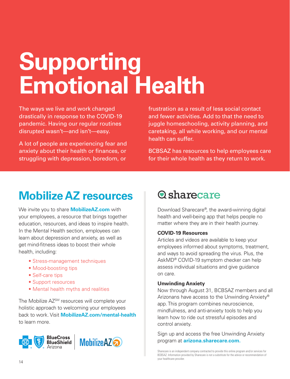# **Supporting Emotional Health**

The ways we live and work changed drastically in response to the COVID-19 pandemic. Having our regular routines disrupted wasn't—and isn't—easy.

A lot of people are experiencing fear and anxiety about their health or finances, or struggling with depression, boredom, or

frustration as a result of less social contact and fewer activities. Add to that the need to juggle homeschooling, activity planning, and caretaking, all while working, and our mental health can suffer.

BCBSAZ has resources to help employees care for their whole health as they return to work.

# **Mobilize AZ resources**

We invite you to share **MobilizeAZ.com** with your employees, a resource that brings together education, resources, and ideas to inspire health. In the Mental Health section, employees can learn about depression and anxiety, as well as get mind-fitness ideas to boost their whole health, including:

- Stress-management techniques
- Mood-boosting tips
- Self-care tips
- Support resources
- Mental health myths and realities

The Mobilize AZ<sup>SM</sup> resources will complete your holistic approach to welcoming your employees back to work. Visit **MobilizeAZ.com/mental-health** to learn more.



## **Q**sharecare

Download Sharecare®, the award-winning digital health and well-being app that helps people no matter where they are in their health journey.

#### **COVID-19 Resources**

Articles and videos are available to keep your employees informed about symptoms, treatment, and ways to avoid spreading the virus. Plus, the AskMD® COVID-19 symptom checker can help assess individual situations and give guidance on care.

#### **Unwinding Anxiety**

Now through August 31, BCBSAZ members and all Arizonans have access to the Unwinding Anxiety® app. This program combines neuroscience, mindfulness, and anti-anxiety tools to help you learn how to ride out stressful episodes and control anxiety.

Sign up and access the free Unwinding Anxiety program at **arizona.sharecare.com.**

Sharecare is an independent company contracted to provide this online program and/or services for BCBSAZ. Information provided by Sharecare is not a substitute for the advice or recommendation of your healthcare provider.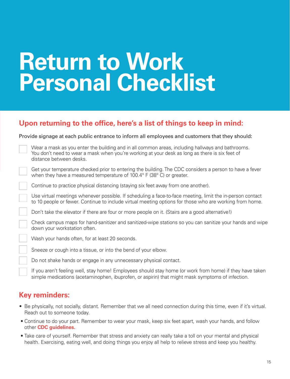# **Return to Work Personal Checklist**

#### **Upon returning to the office, here's a list of things to keep in mind:**

#### Provide signage at each public entrance to inform all employees and customers that they should:

| Wear a mask as you enter the building and in all common areas, including hallways and bathrooms. |
|--------------------------------------------------------------------------------------------------|
| You don't need to wear a mask when you're working at your desk as long as there is six feet of   |
| distance between desks.                                                                          |

Get your temperature checked prior to entering the building. The CDC considers a person to have a fever when they have a measured temperature of 100.4° F (38° C) or greater.

Continue to practice physical distancing (staying six feet away from one another).

Use virtual meetings whenever possible. If scheduling a face-to-face meeting, limit the in-person contact to 10 people or fewer. Continue to include virtual meeting options for those who are working from home.

Don't take the elevator if there are four or more people on it. (Stairs are a good alternative!)

Check campus maps for hand-sanitizer and sanitized-wipe stations so you can sanitize your hands and wipe down your workstation often.

Wash your hands often, for at least 20 seconds.

Sneeze or cough into a tissue, or into the bend of your elbow.

Do not shake hands or engage in any unnecessary physical contact.

If you aren't feeling well, stay home! Employees should stay home (or work from home) if they have taken simple medications (acetaminophen, ibuprofen, or aspirin) that might mask symptoms of infection.

#### **Key reminders:**

- Be physically, not socially, distant. Remember that we all need connection during this time, even if it's virtual. Reach out to someone today.
- Continue to do your part. Remember to wear your mask, keep six feet apart, wash your hands, and follow other **CDC guidelines.**
- Take care of yourself. Remember that stress and anxiety can really take a toll on your mental and physical health. Exercising, eating well, and doing things you enjoy all help to relieve stress and keep you healthy.